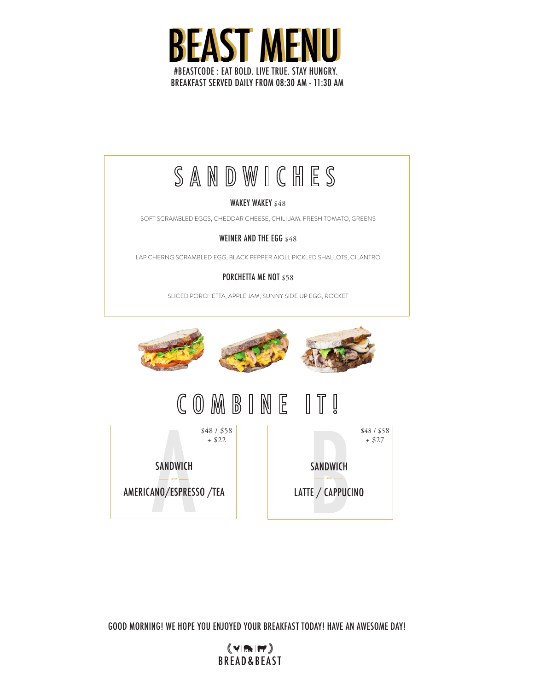

# SANDWICHES

### WAKEY WAKEY \$48

SOFT SCRAMBLED EGGS, CHEDDAR CHEESE, CHILI JAM, FRESH TOMATO, GREENS

### WEINER AND THE EGG \$48

LAP CHERNG SCRAMBLED EGG, BLACK PEPPER AIOLI, PICKLED SHALLOTS, CILANTRO

### PORCHETTA ME NOT \$58

SLICED PORCHETTA, APPLE JAM, SUNNY SIDE UP EGG, ROCKET



#### COMBINE  $\mathbb T$  $\mathbb{I}$  $\frac{1}{2}$



GOOD MORNING! WE HOPE YOU ENJOYED YOUR BREAKFAST TODAY! HAVE AN AWESOME DAY!

 $(\vee)$ m $(\vee)$ **BREAD&BEAST**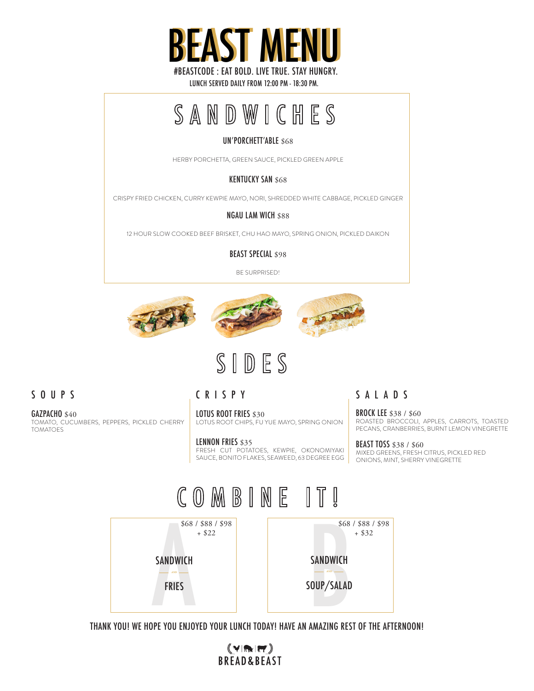

LUNCH SERVED DAILY FROM 12:00 PM - 18:30 PM.

# SANDWICHES

### UN'PORCHETT'ABLE \$68

HERBY PORCHETTA, GREEN SAUCE, PICKLED GREEN APPLE

### **KENTUCKY SAN \$68**

CRISPY FRIED CHICKEN, CURRY KEWPIE MAYO, NORI, SHREDDED WHITE CABBAGE, PICKLED GINGER

#### NGAU LAM WICH \$88

12 HOUR SLOW COOKED BEEF BRISKET, CHU HAO MAYO, SPRING ONION, PICKLED DAIKON

BEAST SPECIAL \$98

BE SURPRISED!





# SIDES

### SOUPS

CRISPY

LOTUS ROOT FRIES \$30 LOTUS ROOT CHIPS, FU YUE MAYO, SPRING ONION

LENNON FRIES \$35 FRESH CUT POTATOES, KEWPIE, OKONOMIYAKI SAUCE, BONITO FLAKES, SEAWEED, 63 DEGREE EGG SALADS

BROCK LEE \$38 / \$60 ROASTED BROCCOLI, APPLES, CARROTS, TOASTED PECANS, CRANBERRIES, BURNT LEMON VINEGRETTE

**BEAST TOSS \$38 / \$60** MIXED GREENS, FRESH CITRUS, PICKLED RED ONIONS, MINT, SHERRY VINEGRETTE



THANK YOU! WE HOPE YOU ENJOYED YOUR LUNCH TODAY! HAVE AN AMAZING REST OF THE AFTERNOON!

 $(\gamma)$ m  $(\pi)$ **BREAD&BEAST** 

GAZPACHO \$40 TOMATO, CUCUMBERS, PEPPERS, PICKLED CHERRY TOMATOES